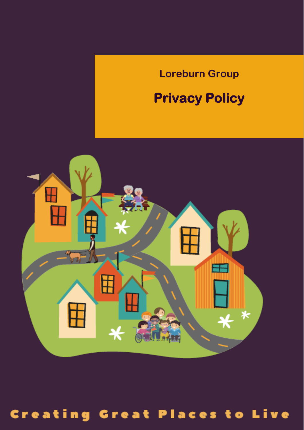# **Loreburn Group**

# **Privacy Policy**



# **Creating Great Places to Live**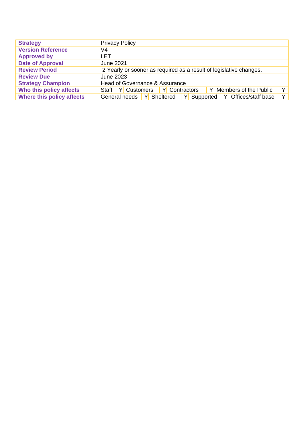| <b>Strategy</b>           | <b>Privacy Policy</b>                                                           |
|---------------------------|---------------------------------------------------------------------------------|
| <b>Version Reference</b>  | V4                                                                              |
| <b>Approved by</b>        | LET                                                                             |
| <b>Date of Approval</b>   | June 2021                                                                       |
| <b>Review Period</b>      | 2 Yearly or sooner as required as a result of legislative changes.              |
| <b>Review Due</b>         | <b>June 2023</b>                                                                |
| <b>Strategy Champion</b>  | Head of Governance & Assurance                                                  |
| Who this policy affects   | ΥI<br>Staff   Y Customers<br>Y Contractors<br>Y Members of the Public           |
| Where this policy affects | $Y \mid$<br>Y Sheltered<br>Y Offices/staff base<br>General needs<br>Y Supported |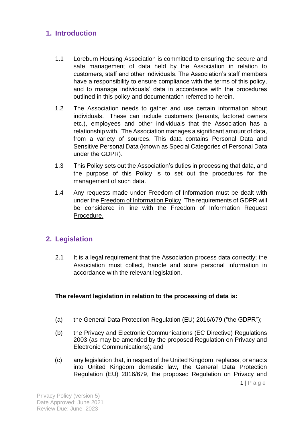## **1. Introduction**

- 1.1 Loreburn Housing Association is committed to ensuring the secure and safe management of data held by the Association in relation to customers, staff and other individuals. The Association's staff members have a responsibility to ensure compliance with the terms of this policy, and to manage individuals' data in accordance with the procedures outlined in this policy and documentation referred to herein.
- 1.2 The Association needs to gather and use certain information about individuals. These can include customers (tenants, factored owners etc.), employees and other individuals that the Association has a relationship with. The Association manages a significant amount of data, from a variety of sources. This data contains Personal Data and Sensitive Personal Data (known as Special Categories of Personal Data under the GDPR).
- 1.3 This Policy sets out the Association's duties in processing that data, and the purpose of this Policy is to set out the procedures for the management of such data.
- 1.4 Any requests made under Freedom of Information must be dealt with under th[e Freedom of Information Policy.](file:///C:/Users/RWilson/Loreburn%20Housing%20Association/Strategies,%20Policies%20&%20Procedures%20-%20Policies%20And%20Procedures/Freedom%20of%20Information/Freedom%20of%20Information%20&%20Environmental%20Information%20Policy%20.pdf) The requirements of GDPR will be considered in line with the [Freedom of Information Request](file:///C:/Users/RWilson/Loreburn%20Housing%20Association/Strategies,%20Policies%20&%20Procedures%20-%20Policies%20And%20Procedures/Freedom%20of%20Information/Freedom%20of%20Information%20&%20Environmental%20Information%20Request%20Procedure.pdf)  [Procedure.](file:///C:/Users/RWilson/Loreburn%20Housing%20Association/Strategies,%20Policies%20&%20Procedures%20-%20Policies%20And%20Procedures/Freedom%20of%20Information/Freedom%20of%20Information%20&%20Environmental%20Information%20Request%20Procedure.pdf)

## **2. Legislation**

2.1 It is a legal requirement that the Association process data correctly; the Association must collect, handle and store personal information in accordance with the relevant legislation.

#### **The relevant legislation in relation to the processing of data is:**

- (a) the General Data Protection Regulation (EU) 2016/679 ("the GDPR");
- (b) the Privacy and Electronic Communications (EC Directive) Regulations 2003 (as may be amended by the proposed Regulation on Privacy and Electronic Communications); and
- (c) any legislation that, in respect of the United Kingdom, replaces, or enacts into United Kingdom domestic law, the General Data Protection Regulation (EU) 2016/679, the proposed Regulation on Privacy and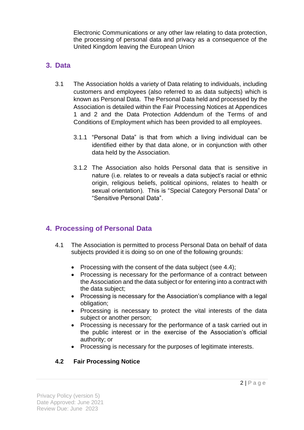Electronic Communications or any other law relating to data protection, the processing of personal data and privacy as a consequence of the United Kingdom leaving the European Union

## **3. Data**

- 3.1 The Association holds a variety of Data relating to individuals, including customers and employees (also referred to as data subjects) which is known as Personal Data. The Personal Data held and processed by the Association is detailed within the Fair Processing Notices at Appendices 1 and 2 and the Data Protection Addendum of the Terms of and Conditions of Employment which has been provided to all employees.
	- 3.1.1 "Personal Data" is that from which a living individual can be identified either by that data alone, or in conjunction with other data held by the Association.
	- 3.1.2 The Association also holds Personal data that is sensitive in nature (i.e. relates to or reveals a data subject's racial or ethnic origin, religious beliefs, political opinions, relates to health or sexual orientation). This is "Special Category Personal Data" or "Sensitive Personal Data".

## **4. Processing of Personal Data**

- 4.1 The Association is permitted to process Personal Data on behalf of data subjects provided it is doing so on one of the following grounds:
	- Processing with the consent of the data subject (see 4.4);
	- Processing is necessary for the performance of a contract between the Association and the data subject or for entering into a contract with the data subject;
	- Processing is necessary for the Association's compliance with a legal obligation;
	- Processing is necessary to protect the vital interests of the data subject or another person;
	- Processing is necessary for the performance of a task carried out in the public interest or in the exercise of the Association's official authority; or
	- Processing is necessary for the purposes of legitimate interests.

## **4.2 Fair Processing Notice**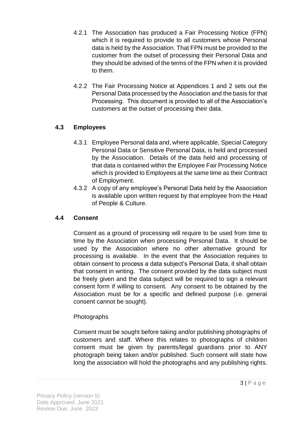- 4.2.1 The Association has produced a Fair Processing Notice (FPN) which it is required to provide to all customers whose Personal data is held by the Association. That FPN must be provided to the customer from the outset of processing their Personal Data and they should be advised of the terms of the FPN when it is provided to them.
- 4.2.2 The Fair Processing Notice at Appendices 1 and 2 sets out the Personal Data processed by the Association and the basis for that Processing. This document is provided to all of the Association's customers at the outset of processing their data.

## **4.3 Employees**

- 4.3.1 Employee Personal data and, where applicable, Special Category Personal Data or Sensitive Personal Data, is held and processed by the Association. Details of the data held and processing of that data is contained within the Employee Fair Processing Notice which is provided to Employees at the same time as their Contract of Employment.
- 4.3.2 A copy of any employee's Personal Data held by the Association is available upon written request by that employee from the Head of People & Culture.

#### **4.4 Consent**

Consent as a ground of processing will require to be used from time to time by the Association when processing Personal Data. It should be used by the Association where no other alternative ground for processing is available. In the event that the Association requires to obtain consent to process a data subject's Personal Data, it shall obtain that consent in writing. The consent provided by the data subject must be freely given and the data subject will be required to sign a relevant consent form if willing to consent. Any consent to be obtained by the Association must be for a specific and defined purpose (i.e. general consent cannot be sought).

#### Photographs

Consent must be sought before taking and/or publishing photographs of customers and staff. Where this relates to photographs of children consent must be given by parents/legal guardians prior to ANY photograph being taken and/or published. Such consent will state how long the association will hold the photographs and any publishing rights.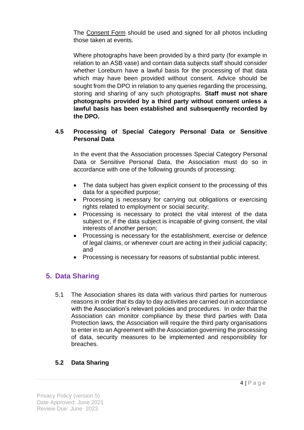The Consent Form should be used and signed for all photos including those taken at events.

Where photographs have been provided by a third party (for example in relation to an ASB vase) and contain data subjects staff should consider whether Loreburn have a lawful basis for the processing of that data which may have been provided without consent. Advice should be sought from the DPO in relation to any queries regarding the processing, storing and sharing of any such photographs. **Staff must not share photographs provided by a third party without consent unless a lawful basis has been established and subsequently recorded by the DPO.** 

#### **4.5 Processing of Special Category Personal Data or Sensitive Personal Data**

In the event that the Association processes Special Category Personal Data or Sensitive Personal Data, the Association must do so in accordance with one of the following grounds of processing:

- The data subject has given explicit consent to the processing of this data for a specified purpose;
- Processing is necessary for carrying out obligations or exercising rights related to employment or social security;
- Processing is necessary to protect the vital interest of the data subject or, if the data subject is incapable of giving consent, the vital interests of another person;
- Processing is necessary for the establishment, exercise or defence of legal claims, or whenever court are acting in their judicial capacity; and
- Processing is necessary for reasons of substantial public interest.

## **5. Data Sharing**

5.1 The Association shares its data with various third parties for numerous reasons in order that its day to day activities are carried out in accordance with the Association's relevant policies and procedures. In order that the Association can monitor compliance by these third parties with Data Protection laws, the Association will require the third party organisations to enter in to an Agreement with the Association governing the processing of data, security measures to be implemented and responsibility for breaches.

#### **5.2 Data Sharing**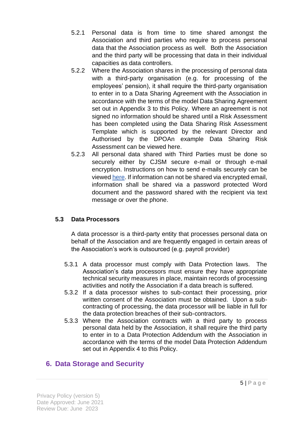- 5.2.1 Personal data is from time to time shared amongst the Association and third parties who require to process personal data that the Association process as well. Both the Association and the third party will be processing that data in their individual capacities as data controllers.
- 5.2.2 Where the Association shares in the processing of personal data with a third-party organisation (e.g. for processing of the employees' pension), it shall require the third-party organisation to enter in to a Data Sharing Agreement with the Association in accordance with the terms of the model Data Sharing Agreement set out in Appendix 3 to this Policy. Where an agreement is not signed no information should be shared until a Risk Assessment has been completed using the Data Sharing Risk Assessment Template which is supported by the relevant Director and Authorised by the DPOAn example Data Sharing Risk Assessment can be viewed here.
- 5.2.3 All personal data shared with Third Parties must be done so securely either by CJSM secure e-mail or through e-mail encryption. Instructions on how to send e-mails securely can be viewed [here.](file:///C:/Users/RWilson/Loreburn%20Housing%20Association/Strategies,%20Policies%20&%20Procedures%20-%20Policies%20And%20Procedures/Privacy%20Policy/Privacy%20Policy%20Appendices/E%20Mail%20Encryption%20Instructions.pdf) If information can not be shared via encrypted email, information shall be shared via a password protected Word document and the password shared with the recipient via text message or over the phone.

#### **5.3 Data Processors**

A data processor is a third-party entity that processes personal data on behalf of the Association and are frequently engaged in certain areas of the Association's work is outsourced (e.g. payroll provider)

- 5.3.1 A data processor must comply with Data Protection laws. The Association's data processors must ensure they have appropriate technical security measures in place, maintain records of processing activities and notify the Association if a data breach is suffered.
- 5.3.2 If a data processor wishes to sub-contact their processing, prior written consent of the Association must be obtained. Upon a subcontracting of processing, the data processor will be liable in full for the data protection breaches of their sub-contractors.
- 5.3.3 Where the Association contracts with a third party to process personal data held by the Association, it shall require the third party to enter in to a Data Protection Addendum with the Association in accordance with the terms of the model Data Protection Addendum set out in Appendix 4 to this Policy.

# **6. Data Storage and Security**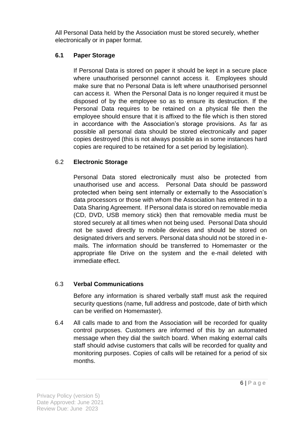All Personal Data held by the Association must be stored securely, whether electronically or in paper format.

#### **6.1 Paper Storage**

If Personal Data is stored on paper it should be kept in a secure place where unauthorised personnel cannot access it. Employees should make sure that no Personal Data is left where unauthorised personnel can access it. When the Personal Data is no longer required it must be disposed of by the employee so as to ensure its destruction. If the Personal Data requires to be retained on a physical file then the employee should ensure that it is affixed to the file which is then stored in accordance with the Association's storage provisions. As far as possible all personal data should be stored electronically and paper copies destroyed (this is not always possible as in some instances hard copies are required to be retained for a set period by legislation).

#### 6.2 **Electronic Storage**

Personal Data stored electronically must also be protected from unauthorised use and access. Personal Data should be password protected when being sent internally or externally to the Association's data processors or those with whom the Association has entered in to a Data Sharing Agreement. If Personal data is stored on removable media (CD, DVD, USB memory stick) then that removable media must be stored securely at all times when not being used. Personal Data should not be saved directly to mobile devices and should be stored on designated drivers and servers. Personal data should not be stored in emails. The information should be transferred to Homemaster or the appropriate file Drive on the system and the e-mail deleted with immediate effect.

#### 6.3 **Verbal Communications**

Before any information is shared verbally staff must ask the required security questions (name, full address and postcode, date of birth which can be verified on Homemaster).

6.4 All calls made to and from the Association will be recorded for quality control purposes. Customers are informed of this by an automated message when they dial the switch board. When making external calls staff should advise customers that calls will be recorded for quality and monitoring purposes. Copies of calls will be retained for a period of six months.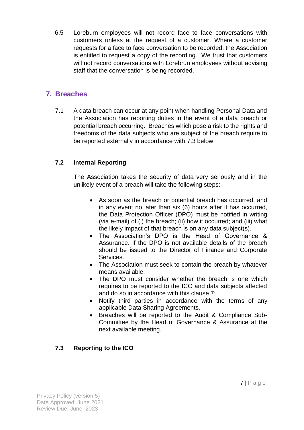6.5 Loreburn employees will not record face to face conversations with customers unless at the request of a customer. Where a customer requests for a face to face conversation to be recorded, the Association is entitled to request a copy of the recording. We trust that customers will not record conversations with Lorebrun employees without advising staff that the conversation is being recorded.

## **7. Breaches**

7.1 A data breach can occur at any point when handling Personal Data and the Association has reporting duties in the event of a data breach or potential breach occurring. Breaches which pose a risk to the rights and freedoms of the data subjects who are subject of the breach require to be reported externally in accordance with 7.3 below.

#### **7.2 Internal Reporting**

The Association takes the security of data very seriously and in the unlikely event of a breach will take the following steps:

- As soon as the breach or potential breach has occurred, and in any event no later than six (6) hours after it has occurred, the Data Protection Officer (DPO) must be notified in writing (via e-mail) of (i) the breach; (ii) how it occurred; and (iii) what the likely impact of that breach is on any data subject(s).
- The Association's DPO is the Head of Governance & Assurance. If the DPO is not available details of the breach should be issued to the Director of Finance and Corporate Services.
- The Association must seek to contain the breach by whatever means available;
- The DPO must consider whether the breach is one which requires to be reported to the ICO and data subjects affected and do so in accordance with this clause 7;
- Notify third parties in accordance with the terms of any applicable Data Sharing Agreements.
- Breaches will be reported to the Audit & Compliance Sub-Committee by the Head of Governance & Assurance at the next available meeting.

## **7.3 Reporting to the ICO**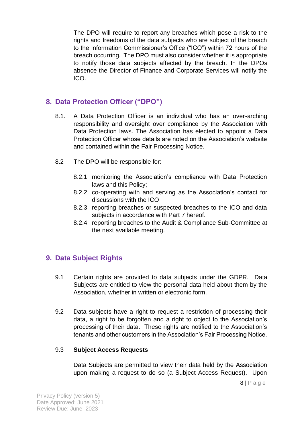The DPO will require to report any breaches which pose a risk to the rights and freedoms of the data subjects who are subject of the breach to the Information Commissioner's Office ("ICO") within 72 hours of the breach occurring. The DPO must also consider whether it is appropriate to notify those data subjects affected by the breach. In the DPOs absence the Director of Finance and Corporate Services will notify the ICO.

## **8. Data Protection Officer ("DPO")**

- 8.1. A Data Protection Officer is an individual who has an over-arching responsibility and oversight over compliance by the Association with Data Protection laws. The Association has elected to appoint a Data Protection Officer whose details are noted on the Association's website and contained within the Fair Processing Notice.
- 8.2 The DPO will be responsible for:
	- 8.2.1 monitoring the Association's compliance with Data Protection laws and this Policy;
	- 8.2.2 co-operating with and serving as the Association's contact for discussions with the ICO
	- 8.2.3 reporting breaches or suspected breaches to the ICO and data subjects in accordance with Part 7 hereof.
	- 8.2.4 reporting breaches to the Audit & Compliance Sub-Committee at the next available meeting.

## **9. Data Subject Rights**

- 9.1 Certain rights are provided to data subjects under the GDPR. Data Subjects are entitled to view the personal data held about them by the Association, whether in written or electronic form.
- 9.2 Data subjects have a right to request a restriction of processing their data, a right to be forgotten and a right to object to the Association's processing of their data. These rights are notified to the Association's tenants and other customers in the Association's Fair Processing Notice.

#### 9.3 **Subject Access Requests**

Data Subjects are permitted to view their data held by the Association upon making a request to do so (a Subject Access Request). Upon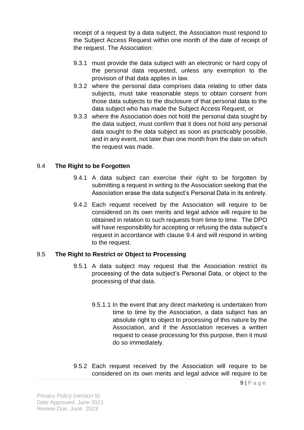receipt of a request by a data subject, the Association must respond to the Subject Access Request within one month of the date of receipt of the request. The Association:

- 9.3.1 must provide the data subject with an electronic or hard copy of the personal data requested, unless any exemption to the provision of that data applies in law.
- 9.3.2 where the personal data comprises data relating to other data subjects, must take reasonable steps to obtain consent from those data subjects to the disclosure of that personal data to the data subject who has made the Subject Access Request, or
- 9.3.3 where the Association does not hold the personal data sought by the data subject, must confirm that it does not hold any personal data sought to the data subject as soon as practicably possible, and in any event, not later than one month from the date on which the request was made.

#### 9.4 **The Right to be Forgotten**

- 9.4.1 A data subject can exercise their right to be forgotten by submitting a request in writing to the Association seeking that the Association erase the data subject's Personal Data in its entirety.
- 9.4.2 Each request received by the Association will require to be considered on its own merits and legal advice will require to be obtained in relation to such requests from time to time. The DPO will have responsibility for accepting or refusing the data subject's request in accordance with clause 9.4 and will respond in writing to the request.

#### 9.5 **The Right to Restrict or Object to Processing**

- 9.5.1 A data subject may request that the Association restrict its processing of the data subject's Personal Data, or object to the processing of that data.
	- 9.5.1.1 In the event that any direct marketing is undertaken from time to time by the Association, a data subject has an absolute right to object to processing of this nature by the Association, and if the Association receives a written request to cease processing for this purpose, then it must do so immediately.
- 9.5.2 Each request received by the Association will require to be considered on its own merits and legal advice will require to be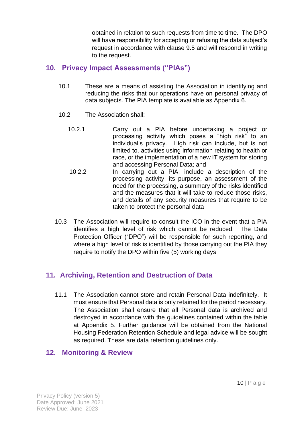obtained in relation to such requests from time to time. The DPO will have responsibility for accepting or refusing the data subject's request in accordance with clause 9.5 and will respond in writing to the request.

## **10. Privacy Impact Assessments ("PIAs")**

- 10.1 These are a means of assisting the Association in identifying and reducing the risks that our operations have on personal privacy of data subjects. The PIA template is available as Appendix 6.
- 10.2 The Association shall:
	- 10.2.1 Carry out a PIA before undertaking a project or processing activity which poses a "high risk" to an individual's privacy. High risk can include, but is not limited to, activities using information relating to health or race, or the implementation of a new IT system for storing and accessing Personal Data; and
	- 10.2.2 In carrying out a PIA, include a description of the processing activity, its purpose, an assessment of the need for the processing, a summary of the risks identified and the measures that it will take to reduce those risks, and details of any security measures that require to be taken to protect the personal data
- 10.3 The Association will require to consult the ICO in the event that a PIA identifies a high level of risk which cannot be reduced. The Data Protection Officer ("DPO") will be responsible for such reporting, and where a high level of risk is identified by those carrying out the PIA they require to notify the DPO within five (5) working days

# **11. Archiving, Retention and Destruction of Data**

11.1 The Association cannot store and retain Personal Data indefinitely. It must ensure that Personal data is only retained for the period necessary. The Association shall ensure that all Personal data is archived and destroyed in accordance with the guidelines contained within the table at Appendix 5. Further guidance will be obtained from the National Housing Federation Retention Schedule and legal advice will be sought as required. These are data retention guidelines only.

# **12. Monitoring & Review**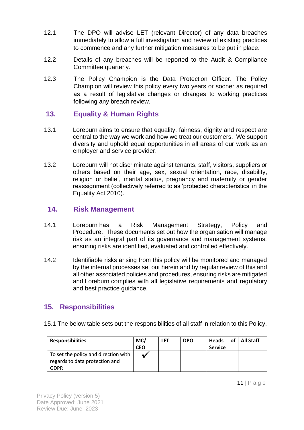- 12.1 The DPO will advise LET (relevant Director) of any data breaches immediately to allow a full investigation and review of existing practices to commence and any further mitigation measures to be put in place.
- 12.2 Details of any breaches will be reported to the Audit & Compliance Committee quarterly.
- 12.3 The Policy Champion is the Data Protection Officer. The Policy Champion will review this policy every two years or sooner as required as a result of legislative changes or changes to working practices following any breach review.

## **13. Equality & Human Rights**

- 13.1 Loreburn aims to ensure that equality, fairness, dignity and respect are central to the way we work and how we treat our customers. We support diversity and uphold equal opportunities in all areas of our work as an employer and service provider.
- 13.2 Loreburn will not discriminate against tenants, staff, visitors, suppliers or others based on their age, sex, sexual orientation, race, disability, religion or belief, marital status, pregnancy and maternity or gender reassignment (collectively referred to as 'protected characteristics' in the Equality Act 2010).

#### **14. Risk Management**

- 14.1 Loreburn has a Risk Management Strategy, Policy and Procedure. These documents set out how the organisation will manage risk as an integral part of its governance and management systems, ensuring risks are identified, evaluated and controlled effectively.
- 14.2 Identifiable risks arising from this policy will be monitored and managed by the internal processes set out herein and by regular review of this and all other associated policies and procedures, ensuring risks are mitigated and Loreburn complies with all legislative requirements and regulatory and best practice guidance.

## **15. Responsibilities**

15.1 The below table sets out the responsibilities of all staff in relation to this Policy.

| <b>Responsibilities</b>                                                | MC/<br><b>CEO</b> | <b>LET</b> | <b>DPO</b> | Heads of All Staff<br><b>Service</b> |  |
|------------------------------------------------------------------------|-------------------|------------|------------|--------------------------------------|--|
| To set the policy and direction with<br>regards to data protection and |                   |            |            |                                      |  |
| <b>GDPR</b>                                                            |                   |            |            |                                      |  |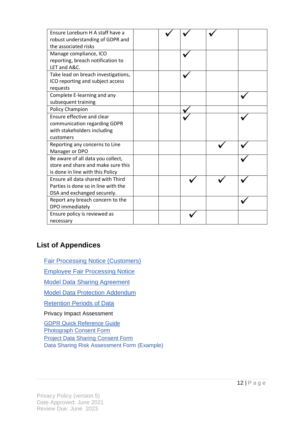| Ensure Loreburn H A staff have a<br>robust understanding of GDPR and<br>the associated risks                |  |  |  |
|-------------------------------------------------------------------------------------------------------------|--|--|--|
| Manage compliance, ICO<br>reporting, breach notification to<br>LET and A&C.                                 |  |  |  |
| Take lead on breach investigations,<br>ICO reporting and subject access<br>requests                         |  |  |  |
| Complete E-learning and any<br>subsequent training                                                          |  |  |  |
| <b>Policy Champion</b>                                                                                      |  |  |  |
| Ensure effective and clear<br>communication regarding GDPR<br>with stakeholders including<br>customers      |  |  |  |
| Reporting any concerns to Line<br>Manager or DPO                                                            |  |  |  |
| Be aware of all data you collect,<br>store and share and make sure this<br>is done in line with this Policy |  |  |  |
| Ensure all data shared with Third<br>Parties is done so in line with the<br>DSA and exchanged securely.     |  |  |  |
| Report any breach concern to the<br>DPO immediately                                                         |  |  |  |
| Ensure policy is reviewed as<br>necessary                                                                   |  |  |  |

## **List of Appendices**

[Fair Processing Notice \(Customers\)](file:///C:/Users/RWilson/Loreburn%20Housing%20Association/Strategies,%20Policies%20&%20Procedures%20-%20Policies%20And%20Procedures/Privacy%20Policy/Privacy%20Policy%20Appendices/1.%20Fair%20Processing%20Notice%20(Customer).pdf)

[Employee Fair Processing Notice](file:///C:/Users/RWilson/Loreburn%20Housing%20Association/Strategies,%20Policies%20&%20Procedures%20-%20Policies%20And%20Procedures/Privacy%20Policy/Privacy%20Policy%20Appendices/2.%20Employee%20Privacy%20Notice%20.pdf)

[Model Data Sharing Agreement](file:///C:/Users/RWilson/Loreburn%20Housing%20Association/Strategies,%20Policies%20&%20Procedures%20-%20Policies%20And%20Procedures/Privacy%20Policy/Privacy%20Policy%20Appendices/3.%20Data%20Sharing%20Agreement%20(Template).docx)

[Model Data Protection Addendum](file:///C:/Users/RWilson/Loreburn%20Housing%20Association/Strategies,%20Policies%20&%20Procedures%20-%20Policies%20And%20Procedures/Privacy%20Policy/Privacy%20Policy%20Appendices/4.%20Data%20Protection%20Addendum%20(Template).docx)

[Retention Periods of Data](file:///C:/Users/RWilson/Loreburn%20Housing%20Association/Strategies,%20Policies%20&%20Procedures%20-%20Policies%20And%20Procedures/Privacy%20Policy/Privacy%20Policy%20Appendices/5.%20Data%20Retention%20Guidelines.pdf) 

Privacy Impact Assessment

[GDPR Quick Reference Guide](file:///C:/Users/RWilson/Loreburn%20Housing%20Association/Strategies,%20Policies%20&%20Procedures%20-%20Policies%20And%20Procedures/Privacy%20Policy/Privacy%20Policy%20Appendices/General%20Data%20Proetction%20Regulation%20Quick%20refernce%20Guide%20.pdf) Photograph Consent Form

Project Data Sharing Consent Form

Data Sharing Risk Assessment Form (Example)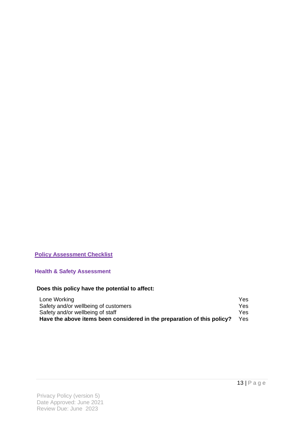#### **Policy Assessment Checklist**

**Health & Safety Assessment** 

#### **Does this policy have the potential to affect:**

| Lone Working                                                            | Yes: |
|-------------------------------------------------------------------------|------|
| Safety and/or wellbeing of customers                                    | Yes: |
| Safety and/or wellbeing of staff                                        | Yes: |
| Have the above items been considered in the preparation of this policy? | Yes. |